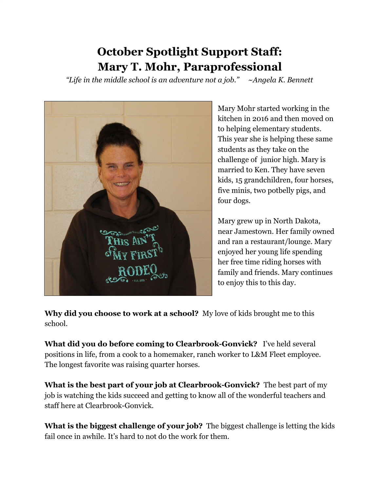## **October Spotlight Support Staff: Mary T. Mohr, Paraprofessional**

*"Life in the middle school is an adventure not a job." ~Angela K. Bennett*



Mary Mohr started working in the kitchen in 2016 and then moved on to helping elementary students. This year she is helping these same students as they take on the challenge of junior high. Mary is married to Ken. They have seven kids, 15 grandchildren, four horses, five minis, two potbelly pigs, and four dogs.

Mary grew up in North Dakota, near Jamestown. Her family owned and ran a restaurant/lounge. Mary enjoyed her young life spending her free time riding horses with family and friends. Mary continues to enjoy this to this day.

**Why did you choose to work at a school?** My love of kids brought me to this school.

**What did you do before coming to Clearbrook-Gonvick?** I've held several positions in life, from a cook to a homemaker, ranch worker to L&M Fleet employee. The longest favorite was raising quarter horses.

**What is the best part of your job at Clearbrook-Gonvick?** The best part of my job is watching the kids succeed and getting to know all of the wonderful teachers and staff here at Clearbrook-Gonvick.

**What is the biggest challenge of your job?** The biggest challenge is letting the kids fail once in awhile. It's hard to not do the work for them.